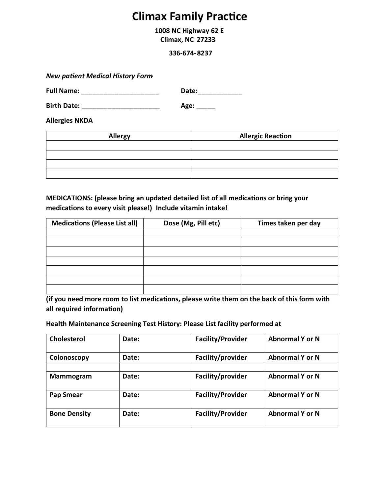# **Climax Family Practice**

**1008 NC Highway 62 E Climax, NC 27233**

**336-674-8237**

**New patient Medical History Form** 

**Full Name: \_\_\_\_\_\_\_\_\_\_\_\_\_\_\_\_\_\_\_\_\_ Date:\_\_\_\_\_\_\_\_\_\_\_\_**

**Birth Date: \_\_\_\_\_\_\_\_\_\_\_\_\_\_\_\_\_\_\_\_\_ Age: \_\_\_\_\_**

**Allergies NKDA**

| <b>Allergy</b> | <b>Allergic Reaction</b> |
|----------------|--------------------------|
|                |                          |
|                |                          |
|                |                          |
|                |                          |

**MEDICATIONS: (please bring an updated detailed list of all medications or bring your** medications to every visit please!) Include vitamin intake!

| <b>Medications (Please List all)</b> | Dose (Mg, Pill etc) | Times taken per day |
|--------------------------------------|---------------------|---------------------|
|                                      |                     |                     |
|                                      |                     |                     |
|                                      |                     |                     |
|                                      |                     |                     |
|                                      |                     |                     |
|                                      |                     |                     |
|                                      |                     |                     |

**(if you need more room to list medications, please write them on the back of this form with all required information)** 

**Health Maintenance Screening Test History: Please List facility performed at**

| <b>Cholesterol</b>  | Date: | <b>Facility/Provider</b> | <b>Abnormal Y or N</b> |
|---------------------|-------|--------------------------|------------------------|
| Colonoscopy         | Date: | Facility/provider        | <b>Abnormal Y or N</b> |
|                     |       |                          |                        |
| <b>Mammogram</b>    | Date: | Facility/provider        | <b>Abnormal Y or N</b> |
| <b>Pap Smear</b>    | Date: | <b>Facility/Provider</b> | <b>Abnormal Y or N</b> |
| <b>Bone Density</b> | Date: | <b>Facility/Provider</b> | <b>Abnormal Y or N</b> |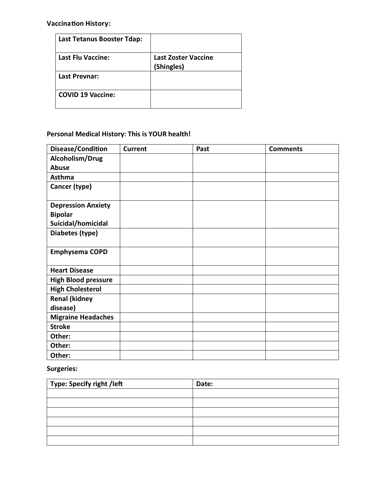**Vaccination History:** 

| Last Tetanus Booster Tdap: |                                          |
|----------------------------|------------------------------------------|
| <b>Last Flu Vaccine:</b>   | <b>Last Zoster Vaccine</b><br>(Shingles) |
| Last Prevnar:              |                                          |
| <b>COVID 19 Vaccine:</b>   |                                          |

### **Personal Medical History: This is YOUR health!**

| Disease/Condition          | <b>Current</b> | Past | <b>Comments</b> |
|----------------------------|----------------|------|-----------------|
| Alcoholism/Drug            |                |      |                 |
| <b>Abuse</b>               |                |      |                 |
| Asthma                     |                |      |                 |
| Cancer (type)              |                |      |                 |
|                            |                |      |                 |
| <b>Depression Anxiety</b>  |                |      |                 |
| <b>Bipolar</b>             |                |      |                 |
| Suicidal/homicidal         |                |      |                 |
| Diabetes (type)            |                |      |                 |
|                            |                |      |                 |
| <b>Emphysema COPD</b>      |                |      |                 |
|                            |                |      |                 |
| <b>Heart Disease</b>       |                |      |                 |
| <b>High Blood pressure</b> |                |      |                 |
| <b>High Cholesterol</b>    |                |      |                 |
| <b>Renal (kidney</b>       |                |      |                 |
| disease)                   |                |      |                 |
| <b>Migraine Headaches</b>  |                |      |                 |
| <b>Stroke</b>              |                |      |                 |
| Other:                     |                |      |                 |
| Other:                     |                |      |                 |
| Other:                     |                |      |                 |

#### **Surgeries:**

| $\mid$ Type: Specify right /left | Date: |
|----------------------------------|-------|
|                                  |       |
|                                  |       |
|                                  |       |
|                                  |       |
|                                  |       |
|                                  |       |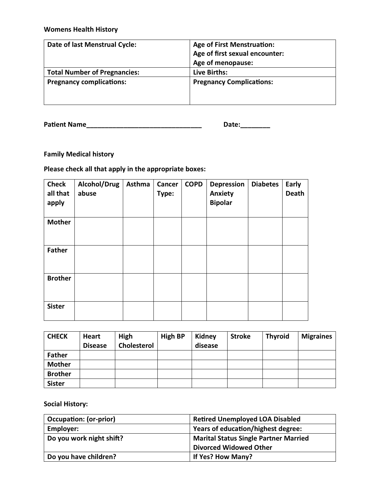#### **Womens Health History**

| Date of last Menstrual Cycle:       | <b>Age of First Menstruation:</b> |
|-------------------------------------|-----------------------------------|
|                                     | Age of first sexual encounter:    |
|                                     | Age of menopause:                 |
| <b>Total Number of Pregnancies:</b> | Live Births:                      |
| <b>Pregnancy complications:</b>     | <b>Pregnancy Complications:</b>   |

**Paent Name\_\_\_\_\_\_\_\_\_\_\_\_\_\_\_\_\_\_\_\_\_\_\_\_\_\_\_\_\_\_\_ Date:\_\_\_\_\_\_\_\_**

**Family Medical history**

**Please check all that apply in the appropriate boxes:**

| <b>Check</b><br>all that<br>apply | Alcohol/Drug<br>abuse | Asthma | Cancer<br>Type: | <b>COPD</b> | <b>Depression</b><br>Anxiety<br><b>Bipolar</b> | <b>Diabetes</b> | <b>Early</b><br><b>Death</b> |
|-----------------------------------|-----------------------|--------|-----------------|-------------|------------------------------------------------|-----------------|------------------------------|
| <b>Mother</b>                     |                       |        |                 |             |                                                |                 |                              |
| <b>Father</b>                     |                       |        |                 |             |                                                |                 |                              |
| <b>Brother</b>                    |                       |        |                 |             |                                                |                 |                              |
| <b>Sister</b>                     |                       |        |                 |             |                                                |                 |                              |

| <b>CHECK</b>   | <b>Heart</b>   | High        | <b>High BP</b> | Kidney  | <b>Stroke</b> | <b>Thyroid</b> | <b>Migraines</b> |
|----------------|----------------|-------------|----------------|---------|---------------|----------------|------------------|
|                | <b>Disease</b> | Cholesterol |                | disease |               |                |                  |
| <b>Father</b>  |                |             |                |         |               |                |                  |
| <b>Mother</b>  |                |             |                |         |               |                |                  |
| <b>Brother</b> |                |             |                |         |               |                |                  |
| <b>Sister</b>  |                |             |                |         |               |                |                  |

**Social History:**

| <b>Occupation: (or-prior)</b> | <b>Retired Unemployed LOA Disabled</b>       |
|-------------------------------|----------------------------------------------|
| Employer:                     | Years of education/highest degree:           |
| Do you work night shift?      | <b>Marital Status Single Partner Married</b> |
|                               | <b>Divorced Widowed Other</b>                |
| Do you have children?         | If Yes? How Many?                            |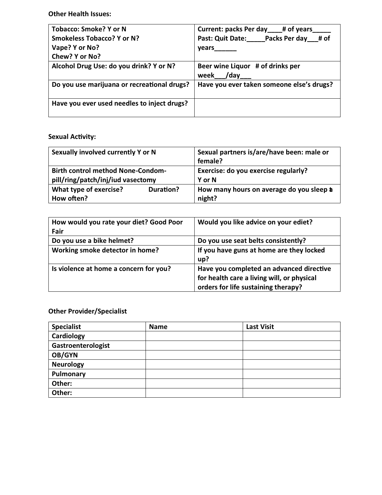**Other Health Issues:** 

| <b>Tobacco: Smoke? Y or N</b>               | Current: packs Per day ____ # of years    |
|---------------------------------------------|-------------------------------------------|
| <b>Smokeless Tobacco? Y or N?</b>           | Past: Quit Date: Packs Per day __ # of    |
| Vape? Y or No?                              | years_______                              |
| Chew? Y or No?                              |                                           |
| Alcohol Drug Use: do you drink? Y or N?     | Beer wine Liquor # of drinks per          |
|                                             | week /day                                 |
| Do you use marijuana or recreational drugs? | Have you ever taken someone else's drugs? |
| Have you ever used needles to inject drugs? |                                           |

#### **Sexual Activity:**

| Sexually involved currently Y or N                                            | Sexual partners is/are/have been: male or<br>female? |
|-------------------------------------------------------------------------------|------------------------------------------------------|
| <b>Birth control method None-Condom-</b><br>pill/ring/patch/inj/iud vasectomy | Exercise: do you exercise regularly?<br>Y or N       |
| What type of exercise?<br>Duration?<br>How often?                             | How many hours on average do you sleep a<br>night?   |

| How would you rate your diet? Good Poor | Would you like advice on your ediet?       |
|-----------------------------------------|--------------------------------------------|
| Fair                                    |                                            |
| Do you use a bike helmet?               | Do you use seat belts consistently?        |
| Working smoke detector in home?         | If you have guns at home are they locked   |
|                                         | up?                                        |
| Is violence at home a concern for you?  | Have you completed an advanced directive   |
|                                         | for health care a living will, or physical |
|                                         | orders for life sustaining therapy?        |

## **Other Provider/Specialist**

| <b>Specialist</b>  | <b>Name</b> | <b>Last Visit</b> |
|--------------------|-------------|-------------------|
| Cardiology         |             |                   |
| Gastroenterologist |             |                   |
| OB/GYN             |             |                   |
| <b>Neurology</b>   |             |                   |
| Pulmonary          |             |                   |
| Other:             |             |                   |
| Other:             |             |                   |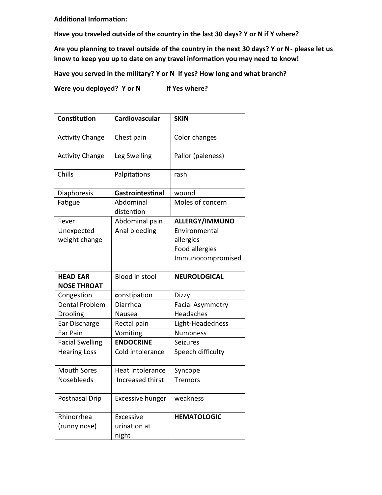**Additional Information:** 

**Have you traveled outside of the country in the last 30 days? Y or N if Y where?** 

**Are you planning to travel outside of the country in the next 30 days? Y or N- please let us**  know to keep you up to date on any travel information you may need to know!

**Have you served in the military? Y or N If yes? How long and what branch?** 

**Were you deployed? Y or N If Yes where?**

| Constitution                          | Cardiovascular                     | <b>SKIN</b>                                                       |
|---------------------------------------|------------------------------------|-------------------------------------------------------------------|
| <b>Activity Change</b>                | Chest pain                         | Color changes                                                     |
| <b>Activity Change</b>                | Leg Swelling                       | Pallor (paleness)                                                 |
| Chills                                | Palpitations                       | rash                                                              |
| <b>Diaphoresis</b>                    | Gastrointestinal                   | wound                                                             |
| Fatigue                               | Abdominal<br>distention            | Moles of concern                                                  |
| Fever                                 | Abdominal pain                     | ALLERGY/IMMUNO                                                    |
| Unexpected<br>weight change           | Anal bleeding                      | Environmental<br>allergies<br>Food allergies<br>Immunocompromised |
| <b>HEAD EAR</b><br><b>NOSE THROAT</b> | <b>Blood in stool</b>              | <b>NEUROLOGICAL</b>                                               |
| Congestion                            | constipation                       | <b>Dizzy</b>                                                      |
| <b>Dental Problem</b>                 | Diarrhea                           | <b>Facial Asymmetry</b>                                           |
| <b>Drooling</b>                       | Nausea                             | Headaches                                                         |
| Ear Discharge                         | Rectal pain                        | Light-Headedness                                                  |
| Ear Pain                              | Vomiting                           | <b>Numbness</b>                                                   |
| <b>Facial Swelling</b>                | <b>ENDOCRINE</b>                   | <b>Seizures</b>                                                   |
| <b>Hearing Loss</b>                   | Cold intolerance                   | Speech difficulty                                                 |
| <b>Mouth Sores</b>                    | Heat Intolerance                   | Syncope                                                           |
| <b>Nosebleeds</b>                     | Increased thirst                   | <b>Tremors</b>                                                    |
| Postnasal Drip                        | <b>Excessive hunger</b>            | weakness                                                          |
| Rhinorrhea<br>(runny nose)            | Excessive<br>urination at<br>night | <b>HEMATOLOGIC</b>                                                |